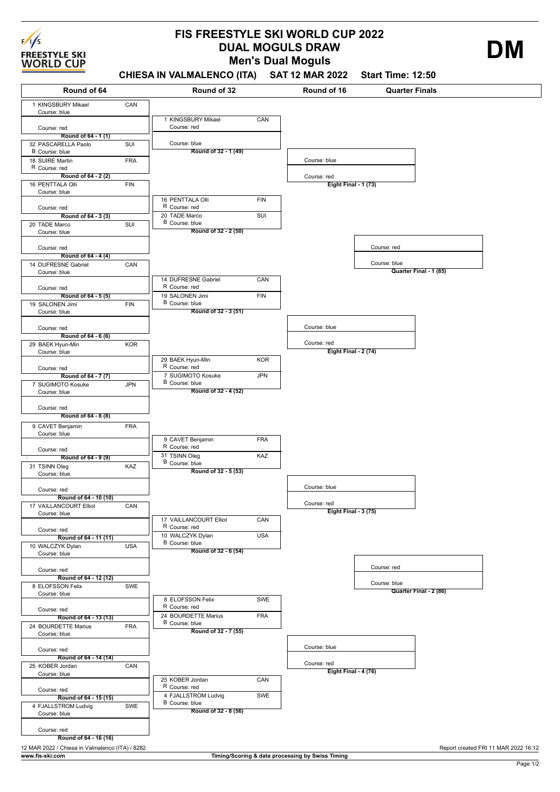

## **Men's Dual Moguls FIS FREESTYLE SKI WORLD CUP 2022 DUAL MOGULS DRAW DUAL MOGULS DRAW**

**CHIESA IN VALMALENCO (ITA) SAT 12 MAR 2022 Start Time: 12:50**

| Round of 64                                                        |            | Round of 32                             |            | Round of 16                                      | <b>Quarter Finals</b>                  |
|--------------------------------------------------------------------|------------|-----------------------------------------|------------|--------------------------------------------------|----------------------------------------|
| 1 KINGSBURY Mikael                                                 | CAN        |                                         |            |                                                  |                                        |
| Course: blue                                                       |            | 1 KINGSBURY Mikael                      | CAN        |                                                  |                                        |
| Course: red                                                        |            | Course: red                             |            |                                                  |                                        |
| Round of 64 - 1(1)<br>32 PASCARELLA Paolo                          | SUI        | Course: blue                            |            |                                                  |                                        |
| B Course: blue<br>18 SUIRE Martin                                  | <b>FRA</b> | Round of 32 - 1 (49)                    |            | Course: blue                                     |                                        |
| R Course: red                                                      |            |                                         |            |                                                  |                                        |
| Round of 64 - 2 (2)<br>16 PENTTALA Olli                            | <b>FIN</b> |                                         |            | Course: red<br><b>Eight Final - 1 (73)</b>       |                                        |
| Course: blue                                                       |            |                                         |            |                                                  |                                        |
| Course: red                                                        |            | 16 PENTTALA Olli<br>R Course: red       | FIN        |                                                  |                                        |
| Round of 64 - 3 (3)                                                |            | 20 TADE Marco<br>B Course: blue         | SUI        |                                                  |                                        |
| 20 TADE Marco<br>Course: blue                                      | SUI        | Round of 32 - 2 (50)                    |            |                                                  |                                        |
| Course: red                                                        |            |                                         |            |                                                  | Course: red                            |
| Round of 64 - 4 (4)                                                |            |                                         |            |                                                  |                                        |
| 14 DUFRESNE Gabriel<br>Course: blue                                | CAN        |                                         |            |                                                  | Course: blue<br>Quarter Final - 1 (85) |
|                                                                    |            | 14 DUFRESNE Gabriel<br>R Course: red    | CAN        |                                                  |                                        |
| Course: red<br>Round of 64 - 5 (5)                                 |            | 19 SALONEN Jimi                         | FIN        |                                                  |                                        |
| 19 SALONEN Jimi                                                    | <b>FIN</b> | B Course: blue<br>Round of 32 - 3 (51)  |            |                                                  |                                        |
| Course: blue                                                       |            |                                         |            |                                                  |                                        |
| Course: red<br>Round of 64 - 6 (6)                                 |            |                                         |            | Course: blue                                     |                                        |
| 29 BAEK Hyun-Min                                                   | <b>KOR</b> |                                         |            | Course: red                                      |                                        |
| Course: blue                                                       |            | 29 BAEK Hyun-Min                        | <b>KOR</b> | Eight Final - 2 (74)                             |                                        |
| Course: red                                                        |            | R Course: red<br>7 SUGIMOTO Kosuke      | <b>JPN</b> |                                                  |                                        |
| Round of 64 - 7 (7)<br>7 SUGIMOTO Kosuke                           | <b>JPN</b> | B Course: blue                          |            |                                                  |                                        |
| Course: blue                                                       |            | Round of 32 - 4 (52)                    |            |                                                  |                                        |
| Course: red                                                        |            |                                         |            |                                                  |                                        |
| Round of 64 - 8 (8)                                                |            |                                         |            |                                                  |                                        |
| 9 CAVET Benjamin<br>Course: blue                                   | <b>FRA</b> |                                         |            |                                                  |                                        |
| Course: red                                                        |            | 9 CAVET Benjamin<br>R Course: red       | <b>FRA</b> |                                                  |                                        |
| Round of 64 - 9 (9)                                                |            | 31 TSINN Oleg<br>B Course: blue         | KAZ        |                                                  |                                        |
| 31 TSINN Oleg<br>Course: blue                                      | KAZ        | Round of 32 - 5 (53)                    |            |                                                  |                                        |
| Course: red                                                        |            |                                         |            | Course: blue                                     |                                        |
| Round of 64 - 10 (10)                                              |            |                                         |            |                                                  |                                        |
| 17 VAILLANCOURT Elliot<br>Course: blue                             | CAN        |                                         |            | Course: red<br>Eight Final - 3 (75)              |                                        |
|                                                                    |            | 17 VAILLANCOURT Elliot<br>R Course: red | CAN        |                                                  |                                        |
| Course: red<br>Round of 64 - 11 (11)                               |            | 10 WALCZYK Dylan                        | <b>USA</b> |                                                  |                                        |
| 10 WALCZYK Dylan                                                   | <b>USA</b> | B Course: blue<br>Round of 32 - 6 (54)  |            |                                                  |                                        |
| Course: blue                                                       |            |                                         |            |                                                  |                                        |
| Course: red<br>Round of 64 - 12 (12)                               |            |                                         |            |                                                  | Course: red                            |
| 8 ELOFSSON Felix                                                   | SWE        |                                         |            |                                                  | Course: blue                           |
| Course: blue                                                       |            | 8 ELOFSSON Felix                        | SWE        |                                                  | Quarter Final - 2 (86)                 |
| Course: red                                                        |            | R Course: red<br>24 BOURDETTE Marius    | <b>FRA</b> |                                                  |                                        |
| Round of 64 - 13 (13)<br>24 BOURDETTE Marius                       | <b>FRA</b> | B Course: blue                          |            |                                                  |                                        |
| Course: blue                                                       |            | Round of 32 - 7 (55)                    |            |                                                  |                                        |
| Course: red                                                        |            |                                         |            | Course: blue                                     |                                        |
| Round of 64 - 14 (14)<br>25 KOBER Jordan                           | CAN        |                                         |            | Course: red                                      |                                        |
| Course: blue                                                       |            | 25 KOBER Jordan                         | CAN        | Eight Final 4 (76)                               |                                        |
| Course: red                                                        |            | R Course: red                           |            |                                                  |                                        |
| Round of 64 - 15 (15)                                              |            | 4 FJALLSTROM Ludvig<br>B Course: blue   | SWE        |                                                  |                                        |
| 4 FJALLSTROM Ludvig<br>Course: blue                                | SWE        | Round of 32 - 8 (56)                    |            |                                                  |                                        |
| Course: red                                                        |            |                                         |            |                                                  |                                        |
| Round of 64 - 16 (16)                                              |            |                                         |            |                                                  |                                        |
| 12 MAR 2022 / Chiesa in Valmalenco (ITA) / 8282<br>www.fis-ski.com |            |                                         |            | Timing/Scoring & data processing by Swiss Timing | Report created FRI 11 MAR 2022 16:12   |